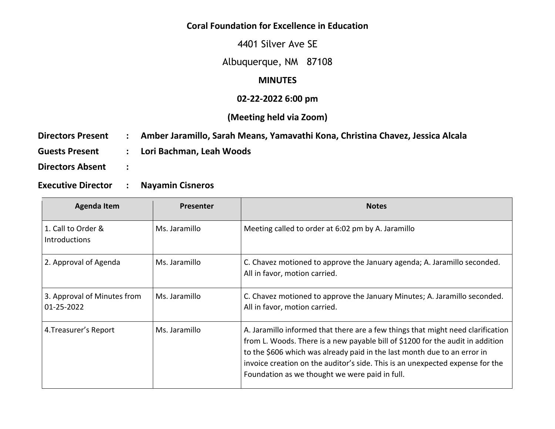## **Coral Foundation for Excellence in Education**

4401 Silver Ave SE

# Albuquerque, NM 87108

### **MINUTES**

#### **02-22-2022 6:00 pm**

## **(Meeting held via Zoom)**

| <b>Directors Present</b> | : Amber Jaramillo, Sarah Means, Yamavathi Kona, Christina Chavez, Jessica Alcala |
|--------------------------|----------------------------------------------------------------------------------|
| <b>Guests Present</b>    | Lori Bachman, Leah Woods                                                         |
| <b>Directors Absent</b>  |                                                                                  |

**Executive Director : Nayamin Cisneros** 

| <b>Agenda Item</b>                         | <b>Presenter</b> | <b>Notes</b>                                                                                                                                                                                                                                                                                                                                                                     |
|--------------------------------------------|------------------|----------------------------------------------------------------------------------------------------------------------------------------------------------------------------------------------------------------------------------------------------------------------------------------------------------------------------------------------------------------------------------|
| 1. Call to Order &<br><b>Introductions</b> | Ms. Jaramillo    | Meeting called to order at 6:02 pm by A. Jaramillo                                                                                                                                                                                                                                                                                                                               |
| 2. Approval of Agenda                      | Ms. Jaramillo    | C. Chavez motioned to approve the January agenda; A. Jaramillo seconded.<br>All in favor, motion carried.                                                                                                                                                                                                                                                                        |
| 3. Approval of Minutes from<br>01-25-2022  | Ms. Jaramillo    | C. Chavez motioned to approve the January Minutes; A. Jaramillo seconded.<br>All in favor, motion carried.                                                                                                                                                                                                                                                                       |
| 4. Treasurer's Report                      | Ms. Jaramillo    | A. Jaramillo informed that there are a few things that might need clarification<br>from L. Woods. There is a new payable bill of \$1200 for the audit in addition<br>to the \$606 which was already paid in the last month due to an error in<br>invoice creation on the auditor's side. This is an unexpected expense for the<br>Foundation as we thought we were paid in full. |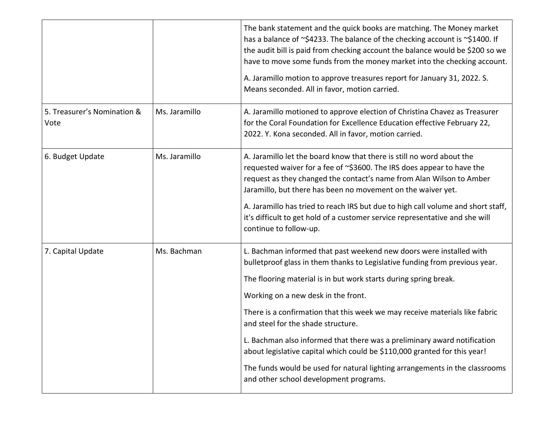|                                     |               | The bank statement and the quick books are matching. The Money market<br>has a balance of ~\$4233. The balance of the checking account is ~\$1400. If<br>the audit bill is paid from checking account the balance would be \$200 so we<br>have to move some funds from the money market into the checking account.<br>A. Jaramillo motion to approve treasures report for January 31, 2022. S.<br>Means seconded. All in favor, motion carried.                                                                                                                                                                                                                      |
|-------------------------------------|---------------|----------------------------------------------------------------------------------------------------------------------------------------------------------------------------------------------------------------------------------------------------------------------------------------------------------------------------------------------------------------------------------------------------------------------------------------------------------------------------------------------------------------------------------------------------------------------------------------------------------------------------------------------------------------------|
| 5. Treasurer's Nomination &<br>Vote | Ms. Jaramillo | A. Jaramillo motioned to approve election of Christina Chavez as Treasurer<br>for the Coral Foundation for Excellence Education effective February 22,<br>2022. Y. Kona seconded. All in favor, motion carried.                                                                                                                                                                                                                                                                                                                                                                                                                                                      |
| 6. Budget Update                    | Ms. Jaramillo | A. Jaramillo let the board know that there is still no word about the<br>requested waiver for a fee of ~\$3600. The IRS does appear to have the<br>request as they changed the contact's name from Alan Wilson to Amber<br>Jaramillo, but there has been no movement on the waiver yet.<br>A. Jaramillo has tried to reach IRS but due to high call volume and short staff,<br>it's difficult to get hold of a customer service representative and she will<br>continue to follow-up.                                                                                                                                                                                |
| 7. Capital Update                   | Ms. Bachman   | L. Bachman informed that past weekend new doors were installed with<br>bulletproof glass in them thanks to Legislative funding from previous year.<br>The flooring material is in but work starts during spring break.<br>Working on a new desk in the front.<br>There is a confirmation that this week we may receive materials like fabric<br>and steel for the shade structure.<br>L. Bachman also informed that there was a preliminary award notification<br>about legislative capital which could be \$110,000 granted for this year!<br>The funds would be used for natural lighting arrangements in the classrooms<br>and other school development programs. |